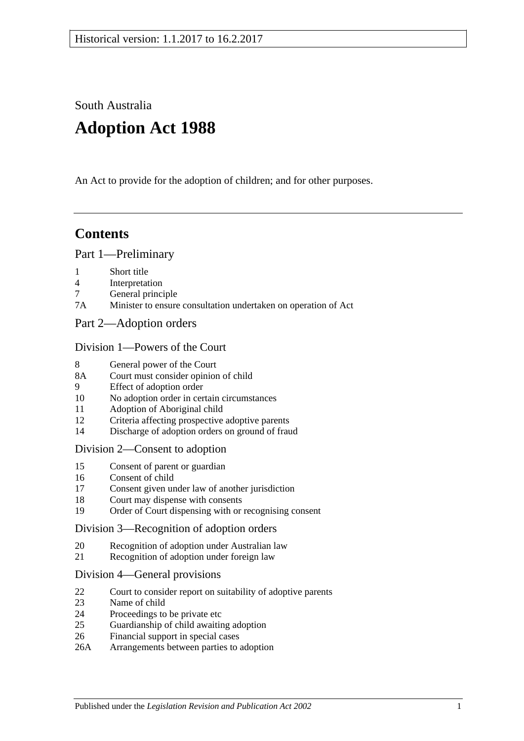South Australia

# **Adoption Act 1988**

An Act to provide for the adoption of children; and for other purposes.

## **Contents**

#### [Part 1—Preliminary](#page-1-0)

- 1 [Short title](#page-1-1)
- 4 [Interpretation](#page-1-2)
- 7 [General principle](#page-3-0)
- 7A [Minister to ensure consultation undertaken on operation of Act](#page-3-1)
- [Part 2—Adoption orders](#page-3-2)

#### [Division 1—Powers of the Court](#page-3-3)

- 8 [General power of the Court](#page-3-4)
- 8A [Court must consider opinion of child](#page-3-5)
- 9 [Effect of adoption order](#page-3-6)
- 10 [No adoption order in certain circumstances](#page-4-0)
- 11 [Adoption of Aboriginal child](#page-4-1)
- 12 [Criteria affecting prospective adoptive parents](#page-5-0)
- 14 [Discharge of adoption orders on ground of fraud](#page-5-1)

#### [Division 2—Consent to adoption](#page-5-2)

- 15 [Consent of parent or guardian](#page-5-3)
- 16 [Consent of child](#page-6-0)
- 17 [Consent given under law of another jurisdiction](#page-7-0)
- 18 [Court may dispense with consents](#page-7-1)
- 19 [Order of Court dispensing with or recognising consent](#page-7-2)

#### [Division 3—Recognition of adoption orders](#page-8-0)

- 20 [Recognition of adoption under Australian law](#page-8-1)
- 21 [Recognition of adoption under foreign law](#page-8-2)

#### [Division 4—General provisions](#page-8-3)

- 22 [Court to consider report on suitability of adoptive parents](#page-8-4)
- 23 [Name of child](#page-9-0)
- 24 [Proceedings to be private etc](#page-9-1)
- 25 [Guardianship of child awaiting adoption](#page-9-2)
- 26 [Financial support in special cases](#page-10-0)
- 26A [Arrangements between parties to adoption](#page-10-1)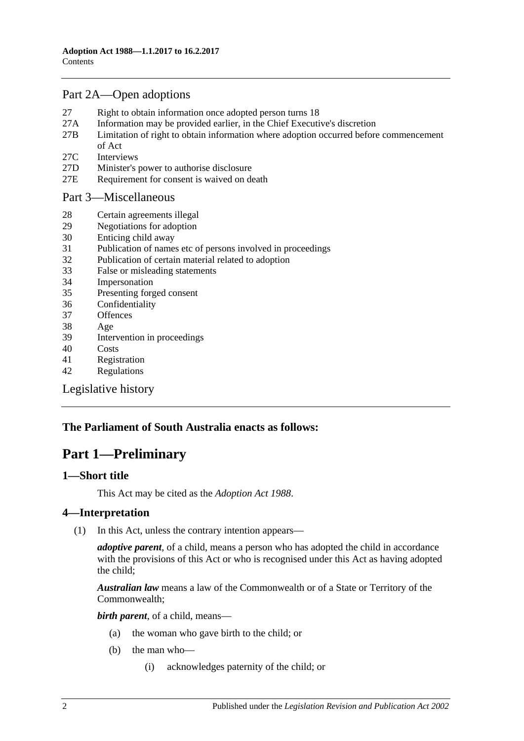### [Part 2A—Open adoptions](#page-10-2)

- 27 [Right to obtain information once adopted person turns 18](#page-10-3)
- 27A [Information may be provided earlier, in the Chief Executive's discretion](#page-11-0)
- 27B [Limitation of right to obtain information where adoption occurred before commencement](#page-12-0)  [of Act](#page-12-0)
- 27C [Interviews](#page-13-0)
- 27D [Minister's power to authorise disclosure](#page-13-1)
- 27E [Requirement for consent is waived on death](#page-13-2)

#### [Part 3—Miscellaneous](#page-13-3)

- 28 [Certain agreements illegal](#page-13-4)
- 29 [Negotiations for adoption](#page-13-5)
- 30 [Enticing child away](#page-14-0)
- 31 [Publication of names etc of persons involved in proceedings](#page-14-1)
- 32 [Publication of certain material related to adoption](#page-14-2)
- 33 [False or misleading statements](#page-15-0)
- 34 [Impersonation](#page-15-1)
- 35 [Presenting forged consent](#page-15-2)
- 36 [Confidentiality](#page-15-3)
- 37 [Offences](#page-15-4)
- 38 [Age](#page-15-5)
- 39 [Intervention in proceedings](#page-15-6)
- 40 [Costs](#page-16-0)
- 41 [Registration](#page-16-1)
- 42 [Regulations](#page-16-2)

[Legislative history](#page-18-0)

### <span id="page-1-0"></span>**The Parliament of South Australia enacts as follows:**

## **Part 1—Preliminary**

#### <span id="page-1-1"></span>**1—Short title**

This Act may be cited as the *Adoption Act 1988*.

#### <span id="page-1-2"></span>**4—Interpretation**

(1) In this Act, unless the contrary intention appears—

*adoptive parent*, of a child, means a person who has adopted the child in accordance with the provisions of this Act or who is recognised under this Act as having adopted the child;

*Australian law* means a law of the Commonwealth or of a State or Territory of the Commonwealth;

*birth parent*, of a child, means—

- (a) the woman who gave birth to the child; or
- (b) the man who—
	- (i) acknowledges paternity of the child; or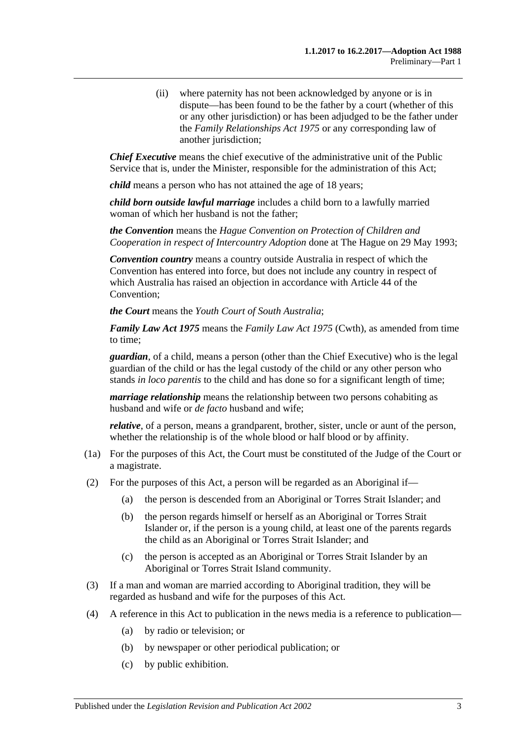(ii) where paternity has not been acknowledged by anyone or is in dispute—has been found to be the father by a court (whether of this or any other jurisdiction) or has been adjudged to be the father under the *[Family Relationships Act](http://www.legislation.sa.gov.au/index.aspx?action=legref&type=act&legtitle=Family%20Relationships%20Act%201975) 1975* or any corresponding law of another jurisdiction;

*Chief Executive* means the chief executive of the administrative unit of the Public Service that is, under the Minister, responsible for the administration of this Act;

*child* means a person who has not attained the age of 18 years;

*child born outside lawful marriage* includes a child born to a lawfully married woman of which her husband is not the father;

*the Convention* means the *Hague Convention on Protection of Children and Cooperation in respect of Intercountry Adoption* done at The Hague on 29 May 1993;

*Convention country* means a country outside Australia in respect of which the Convention has entered into force, but does not include any country in respect of which Australia has raised an objection in accordance with Article 44 of the Convention;

*the Court* means the *Youth Court of South Australia*;

*Family Law Act 1975* means the *Family Law Act 1975* (Cwth), as amended from time to time;

*guardian*, of a child, means a person (other than the Chief Executive) who is the legal guardian of the child or has the legal custody of the child or any other person who stands *in loco parentis* to the child and has done so for a significant length of time;

*marriage relationship* means the relationship between two persons cohabiting as husband and wife or *de facto* husband and wife;

*relative*, of a person, means a grandparent, brother, sister, uncle or aunt of the person, whether the relationship is of the whole blood or half blood or by affinity.

- (1a) For the purposes of this Act, the Court must be constituted of the Judge of the Court or a magistrate.
- (2) For the purposes of this Act, a person will be regarded as an Aboriginal if—
	- (a) the person is descended from an Aboriginal or Torres Strait Islander; and
	- (b) the person regards himself or herself as an Aboriginal or Torres Strait Islander or, if the person is a young child, at least one of the parents regards the child as an Aboriginal or Torres Strait Islander; and
	- (c) the person is accepted as an Aboriginal or Torres Strait Islander by an Aboriginal or Torres Strait Island community.
- (3) If a man and woman are married according to Aboriginal tradition, they will be regarded as husband and wife for the purposes of this Act.
- (4) A reference in this Act to publication in the news media is a reference to publication—
	- (a) by radio or television; or
	- (b) by newspaper or other periodical publication; or
	- (c) by public exhibition.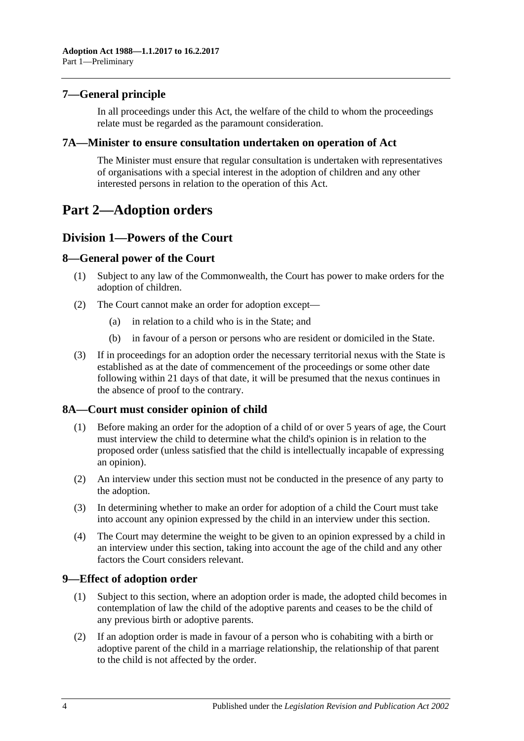#### <span id="page-3-0"></span>**7—General principle**

In all proceedings under this Act, the welfare of the child to whom the proceedings relate must be regarded as the paramount consideration.

#### <span id="page-3-1"></span>**7A—Minister to ensure consultation undertaken on operation of Act**

The Minister must ensure that regular consultation is undertaken with representatives of organisations with a special interest in the adoption of children and any other interested persons in relation to the operation of this Act.

## <span id="page-3-2"></span>**Part 2—Adoption orders**

#### <span id="page-3-3"></span>**Division 1—Powers of the Court**

#### <span id="page-3-4"></span>**8—General power of the Court**

- (1) Subject to any law of the Commonwealth, the Court has power to make orders for the adoption of children.
- (2) The Court cannot make an order for adoption except—
	- (a) in relation to a child who is in the State; and
	- (b) in favour of a person or persons who are resident or domiciled in the State.
- (3) If in proceedings for an adoption order the necessary territorial nexus with the State is established as at the date of commencement of the proceedings or some other date following within 21 days of that date, it will be presumed that the nexus continues in the absence of proof to the contrary.

#### <span id="page-3-5"></span>**8A—Court must consider opinion of child**

- (1) Before making an order for the adoption of a child of or over 5 years of age, the Court must interview the child to determine what the child's opinion is in relation to the proposed order (unless satisfied that the child is intellectually incapable of expressing an opinion).
- (2) An interview under this section must not be conducted in the presence of any party to the adoption.
- (3) In determining whether to make an order for adoption of a child the Court must take into account any opinion expressed by the child in an interview under this section.
- (4) The Court may determine the weight to be given to an opinion expressed by a child in an interview under this section, taking into account the age of the child and any other factors the Court considers relevant.

#### <span id="page-3-6"></span>**9—Effect of adoption order**

- (1) Subject to this section, where an adoption order is made, the adopted child becomes in contemplation of law the child of the adoptive parents and ceases to be the child of any previous birth or adoptive parents.
- (2) If an adoption order is made in favour of a person who is cohabiting with a birth or adoptive parent of the child in a marriage relationship, the relationship of that parent to the child is not affected by the order.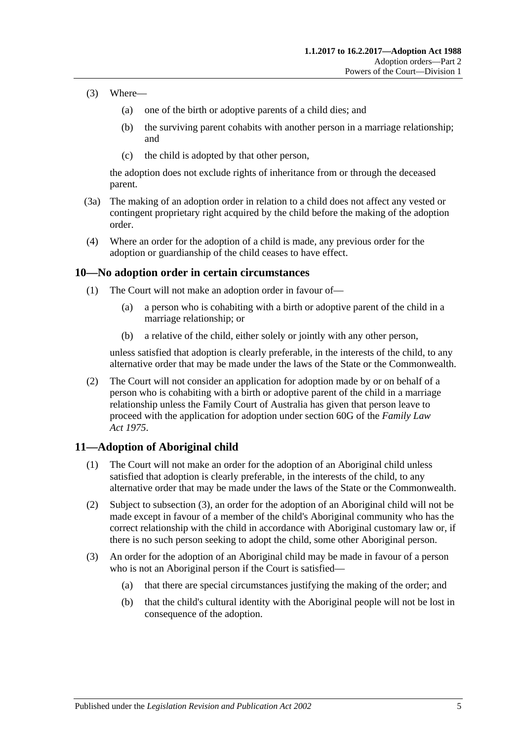- (3) Where—
	- (a) one of the birth or adoptive parents of a child dies; and
	- (b) the surviving parent cohabits with another person in a marriage relationship; and
	- (c) the child is adopted by that other person,

the adoption does not exclude rights of inheritance from or through the deceased parent.

- (3a) The making of an adoption order in relation to a child does not affect any vested or contingent proprietary right acquired by the child before the making of the adoption order.
- (4) Where an order for the adoption of a child is made, any previous order for the adoption or guardianship of the child ceases to have effect.

#### <span id="page-4-0"></span>**10—No adoption order in certain circumstances**

- (1) The Court will not make an adoption order in favour of—
	- (a) a person who is cohabiting with a birth or adoptive parent of the child in a marriage relationship; or
	- (b) a relative of the child, either solely or jointly with any other person,

unless satisfied that adoption is clearly preferable, in the interests of the child, to any alternative order that may be made under the laws of the State or the Commonwealth.

(2) The Court will not consider an application for adoption made by or on behalf of a person who is cohabiting with a birth or adoptive parent of the child in a marriage relationship unless the Family Court of Australia has given that person leave to proceed with the application for adoption under section 60G of the *Family Law Act 1975*.

### <span id="page-4-1"></span>**11—Adoption of Aboriginal child**

- (1) The Court will not make an order for the adoption of an Aboriginal child unless satisfied that adoption is clearly preferable, in the interests of the child, to any alternative order that may be made under the laws of the State or the Commonwealth.
- (2) Subject to [subsection](#page-4-2) (3), an order for the adoption of an Aboriginal child will not be made except in favour of a member of the child's Aboriginal community who has the correct relationship with the child in accordance with Aboriginal customary law or, if there is no such person seeking to adopt the child, some other Aboriginal person.
- <span id="page-4-2"></span>(3) An order for the adoption of an Aboriginal child may be made in favour of a person who is not an Aboriginal person if the Court is satisfied—
	- (a) that there are special circumstances justifying the making of the order; and
	- (b) that the child's cultural identity with the Aboriginal people will not be lost in consequence of the adoption.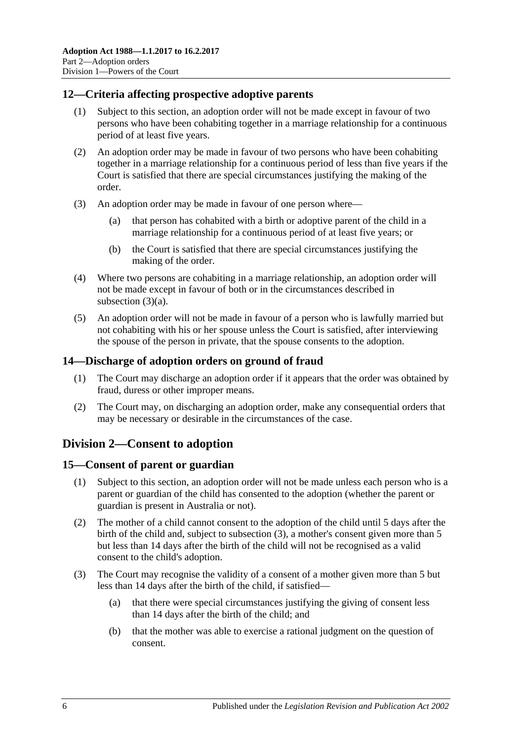#### <span id="page-5-0"></span>**12—Criteria affecting prospective adoptive parents**

- (1) Subject to this section, an adoption order will not be made except in favour of two persons who have been cohabiting together in a marriage relationship for a continuous period of at least five years.
- (2) An adoption order may be made in favour of two persons who have been cohabiting together in a marriage relationship for a continuous period of less than five years if the Court is satisfied that there are special circumstances justifying the making of the order.
- <span id="page-5-4"></span>(3) An adoption order may be made in favour of one person where—
	- (a) that person has cohabited with a birth or adoptive parent of the child in a marriage relationship for a continuous period of at least five years; or
	- (b) the Court is satisfied that there are special circumstances justifying the making of the order.
- (4) Where two persons are cohabiting in a marriage relationship, an adoption order will not be made except in favour of both or in the circumstances described in [subsection](#page-5-4) (3)(a).
- (5) An adoption order will not be made in favour of a person who is lawfully married but not cohabiting with his or her spouse unless the Court is satisfied, after interviewing the spouse of the person in private, that the spouse consents to the adoption.

#### <span id="page-5-1"></span>**14—Discharge of adoption orders on ground of fraud**

- (1) The Court may discharge an adoption order if it appears that the order was obtained by fraud, duress or other improper means.
- (2) The Court may, on discharging an adoption order, make any consequential orders that may be necessary or desirable in the circumstances of the case.

### <span id="page-5-2"></span>**Division 2—Consent to adoption**

#### <span id="page-5-3"></span>**15—Consent of parent or guardian**

- (1) Subject to this section, an adoption order will not be made unless each person who is a parent or guardian of the child has consented to the adoption (whether the parent or guardian is present in Australia or not).
- (2) The mother of a child cannot consent to the adoption of the child until 5 days after the birth of the child and, subject to [subsection](#page-5-5) (3), a mother's consent given more than 5 but less than 14 days after the birth of the child will not be recognised as a valid consent to the child's adoption.
- <span id="page-5-5"></span>(3) The Court may recognise the validity of a consent of a mother given more than 5 but less than 14 days after the birth of the child, if satisfied—
	- (a) that there were special circumstances justifying the giving of consent less than 14 days after the birth of the child; and
	- (b) that the mother was able to exercise a rational judgment on the question of consent.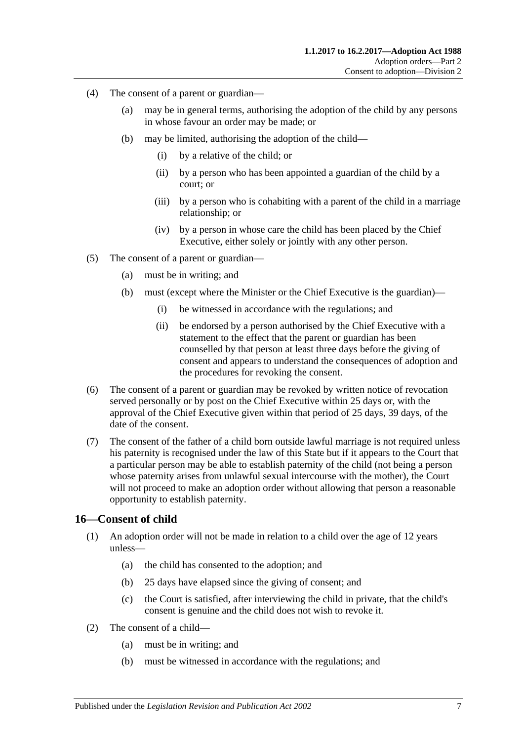- (4) The consent of a parent or guardian—
	- (a) may be in general terms, authorising the adoption of the child by any persons in whose favour an order may be made; or
	- (b) may be limited, authorising the adoption of the child—
		- (i) by a relative of the child; or
		- (ii) by a person who has been appointed a guardian of the child by a court; or
		- (iii) by a person who is cohabiting with a parent of the child in a marriage relationship; or
		- (iv) by a person in whose care the child has been placed by the Chief Executive, either solely or jointly with any other person.
- (5) The consent of a parent or guardian—
	- (a) must be in writing; and
	- (b) must (except where the Minister or the Chief Executive is the guardian)—
		- (i) be witnessed in accordance with the regulations; and
		- (ii) be endorsed by a person authorised by the Chief Executive with a statement to the effect that the parent or guardian has been counselled by that person at least three days before the giving of consent and appears to understand the consequences of adoption and the procedures for revoking the consent.
- (6) The consent of a parent or guardian may be revoked by written notice of revocation served personally or by post on the Chief Executive within 25 days or, with the approval of the Chief Executive given within that period of 25 days, 39 days, of the date of the consent.
- (7) The consent of the father of a child born outside lawful marriage is not required unless his paternity is recognised under the law of this State but if it appears to the Court that a particular person may be able to establish paternity of the child (not being a person whose paternity arises from unlawful sexual intercourse with the mother), the Court will not proceed to make an adoption order without allowing that person a reasonable opportunity to establish paternity.

#### <span id="page-6-0"></span>**16—Consent of child**

- (1) An adoption order will not be made in relation to a child over the age of 12 years unless—
	- (a) the child has consented to the adoption; and
	- (b) 25 days have elapsed since the giving of consent; and
	- (c) the Court is satisfied, after interviewing the child in private, that the child's consent is genuine and the child does not wish to revoke it.
- (2) The consent of a child—
	- (a) must be in writing; and
	- (b) must be witnessed in accordance with the regulations; and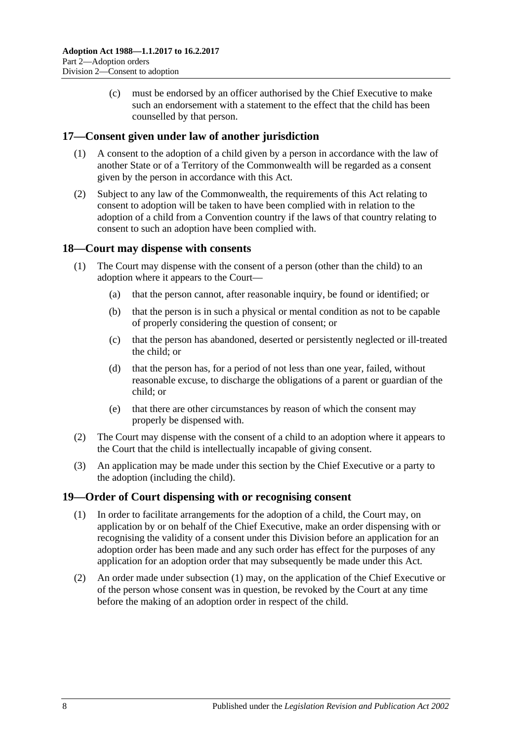(c) must be endorsed by an officer authorised by the Chief Executive to make such an endorsement with a statement to the effect that the child has been counselled by that person.

#### <span id="page-7-0"></span>**17—Consent given under law of another jurisdiction**

- (1) A consent to the adoption of a child given by a person in accordance with the law of another State or of a Territory of the Commonwealth will be regarded as a consent given by the person in accordance with this Act.
- (2) Subject to any law of the Commonwealth, the requirements of this Act relating to consent to adoption will be taken to have been complied with in relation to the adoption of a child from a Convention country if the laws of that country relating to consent to such an adoption have been complied with.

#### <span id="page-7-1"></span>**18—Court may dispense with consents**

- (1) The Court may dispense with the consent of a person (other than the child) to an adoption where it appears to the Court—
	- (a) that the person cannot, after reasonable inquiry, be found or identified; or
	- (b) that the person is in such a physical or mental condition as not to be capable of properly considering the question of consent; or
	- (c) that the person has abandoned, deserted or persistently neglected or ill-treated the child; or
	- (d) that the person has, for a period of not less than one year, failed, without reasonable excuse, to discharge the obligations of a parent or guardian of the child; or
	- (e) that there are other circumstances by reason of which the consent may properly be dispensed with.
- (2) The Court may dispense with the consent of a child to an adoption where it appears to the Court that the child is intellectually incapable of giving consent.
- (3) An application may be made under this section by the Chief Executive or a party to the adoption (including the child).

#### <span id="page-7-3"></span><span id="page-7-2"></span>**19—Order of Court dispensing with or recognising consent**

- (1) In order to facilitate arrangements for the adoption of a child, the Court may, on application by or on behalf of the Chief Executive, make an order dispensing with or recognising the validity of a consent under this Division before an application for an adoption order has been made and any such order has effect for the purposes of any application for an adoption order that may subsequently be made under this Act.
- (2) An order made under [subsection](#page-7-3) (1) may, on the application of the Chief Executive or of the person whose consent was in question, be revoked by the Court at any time before the making of an adoption order in respect of the child.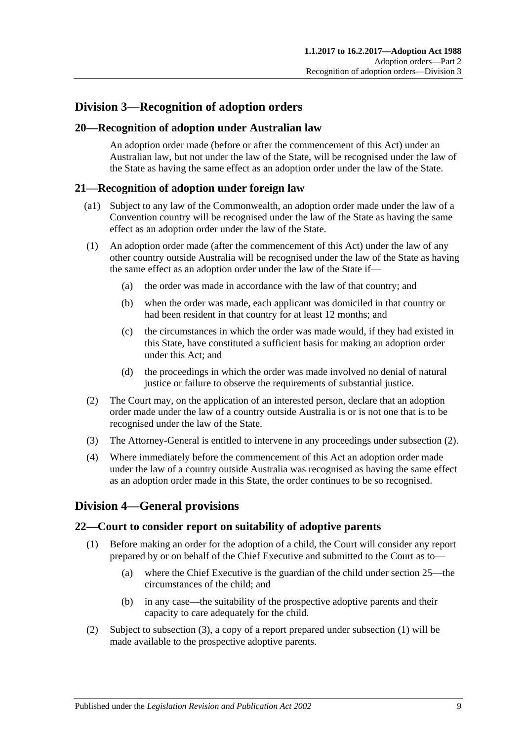## <span id="page-8-0"></span>**Division 3—Recognition of adoption orders**

#### <span id="page-8-1"></span>**20—Recognition of adoption under Australian law**

An adoption order made (before or after the commencement of this Act) under an Australian law, but not under the law of the State, will be recognised under the law of the State as having the same effect as an adoption order under the law of the State.

#### <span id="page-8-2"></span>**21—Recognition of adoption under foreign law**

- (a1) Subject to any law of the Commonwealth, an adoption order made under the law of a Convention country will be recognised under the law of the State as having the same effect as an adoption order under the law of the State.
- (1) An adoption order made (after the commencement of this Act) under the law of any other country outside Australia will be recognised under the law of the State as having the same effect as an adoption order under the law of the State if—
	- (a) the order was made in accordance with the law of that country; and
	- (b) when the order was made, each applicant was domiciled in that country or had been resident in that country for at least 12 months; and
	- (c) the circumstances in which the order was made would, if they had existed in this State, have constituted a sufficient basis for making an adoption order under this Act; and
	- (d) the proceedings in which the order was made involved no denial of natural justice or failure to observe the requirements of substantial justice.
- <span id="page-8-5"></span>(2) The Court may, on the application of an interested person, declare that an adoption order made under the law of a country outside Australia is or is not one that is to be recognised under the law of the State.
- (3) The Attorney-General is entitled to intervene in any proceedings under [subsection](#page-8-5) (2).
- (4) Where immediately before the commencement of this Act an adoption order made under the law of a country outside Australia was recognised as having the same effect as an adoption order made in this State, the order continues to be so recognised.

### <span id="page-8-3"></span>**Division 4—General provisions**

#### <span id="page-8-6"></span><span id="page-8-4"></span>**22—Court to consider report on suitability of adoptive parents**

- (1) Before making an order for the adoption of a child, the Court will consider any report prepared by or on behalf of the Chief Executive and submitted to the Court as to—
	- (a) where the Chief Executive is the guardian of the child under [section](#page-9-2) 25—the circumstances of the child; and
	- (b) in any case—the suitability of the prospective adoptive parents and their capacity to care adequately for the child.
- (2) Subject to [subsection](#page-9-3) (3), a copy of a report prepared under [subsection](#page-8-6) (1) will be made available to the prospective adoptive parents.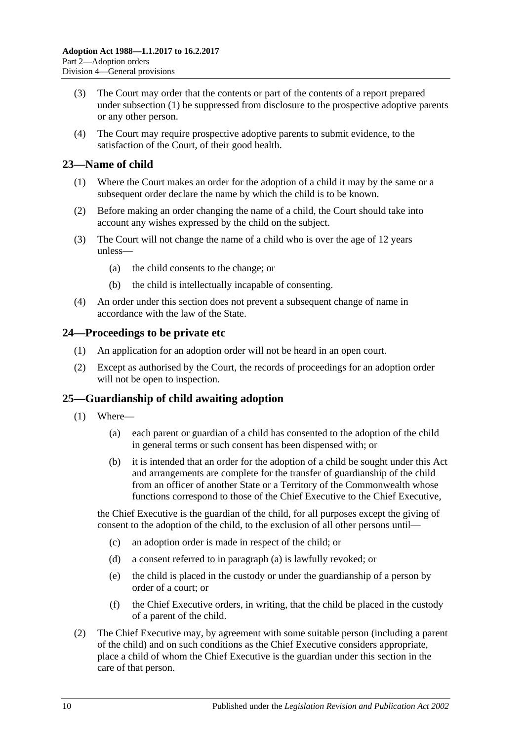- <span id="page-9-3"></span>(3) The Court may order that the contents or part of the contents of a report prepared under [subsection](#page-8-6) (1) be suppressed from disclosure to the prospective adoptive parents or any other person.
- (4) The Court may require prospective adoptive parents to submit evidence, to the satisfaction of the Court, of their good health.

#### <span id="page-9-0"></span>**23—Name of child**

- (1) Where the Court makes an order for the adoption of a child it may by the same or a subsequent order declare the name by which the child is to be known.
- (2) Before making an order changing the name of a child, the Court should take into account any wishes expressed by the child on the subject.
- (3) The Court will not change the name of a child who is over the age of 12 years unless—
	- (a) the child consents to the change; or
	- (b) the child is intellectually incapable of consenting.
- (4) An order under this section does not prevent a subsequent change of name in accordance with the law of the State.

#### <span id="page-9-1"></span>**24—Proceedings to be private etc**

- (1) An application for an adoption order will not be heard in an open court.
- (2) Except as authorised by the Court, the records of proceedings for an adoption order will not be open to inspection.

### <span id="page-9-2"></span>**25—Guardianship of child awaiting adoption**

- <span id="page-9-4"></span>(1) Where—
	- (a) each parent or guardian of a child has consented to the adoption of the child in general terms or such consent has been dispensed with; or
	- (b) it is intended that an order for the adoption of a child be sought under this Act and arrangements are complete for the transfer of guardianship of the child from an officer of another State or a Territory of the Commonwealth whose functions correspond to those of the Chief Executive to the Chief Executive,

the Chief Executive is the guardian of the child, for all purposes except the giving of consent to the adoption of the child, to the exclusion of all other persons until—

- (c) an adoption order is made in respect of the child; or
- (d) a consent referred to in [paragraph](#page-9-4) (a) is lawfully revoked; or
- (e) the child is placed in the custody or under the guardianship of a person by order of a court; or
- (f) the Chief Executive orders, in writing, that the child be placed in the custody of a parent of the child.
- (2) The Chief Executive may, by agreement with some suitable person (including a parent of the child) and on such conditions as the Chief Executive considers appropriate, place a child of whom the Chief Executive is the guardian under this section in the care of that person.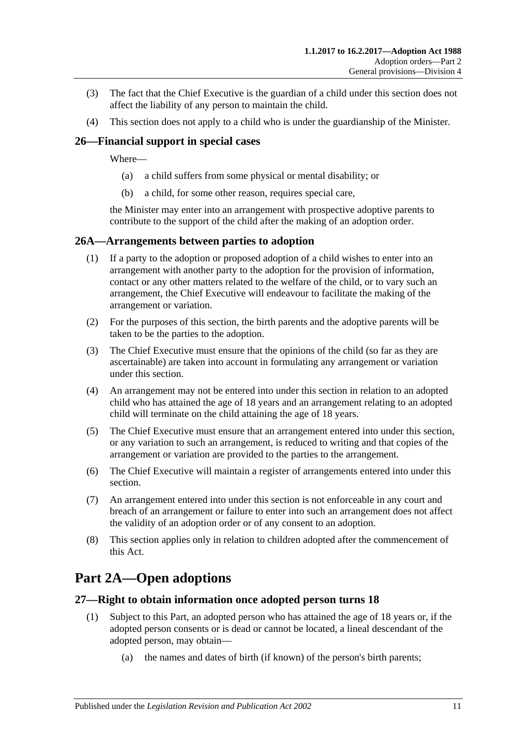- (3) The fact that the Chief Executive is the guardian of a child under this section does not affect the liability of any person to maintain the child.
- (4) This section does not apply to a child who is under the guardianship of the Minister.

#### <span id="page-10-0"></span>**26—Financial support in special cases**

Where—

- (a) a child suffers from some physical or mental disability; or
- (b) a child, for some other reason, requires special care,

the Minister may enter into an arrangement with prospective adoptive parents to contribute to the support of the child after the making of an adoption order.

#### <span id="page-10-1"></span>**26A—Arrangements between parties to adoption**

- (1) If a party to the adoption or proposed adoption of a child wishes to enter into an arrangement with another party to the adoption for the provision of information, contact or any other matters related to the welfare of the child, or to vary such an arrangement, the Chief Executive will endeavour to facilitate the making of the arrangement or variation.
- (2) For the purposes of this section, the birth parents and the adoptive parents will be taken to be the parties to the adoption.
- (3) The Chief Executive must ensure that the opinions of the child (so far as they are ascertainable) are taken into account in formulating any arrangement or variation under this section.
- (4) An arrangement may not be entered into under this section in relation to an adopted child who has attained the age of 18 years and an arrangement relating to an adopted child will terminate on the child attaining the age of 18 years.
- (5) The Chief Executive must ensure that an arrangement entered into under this section, or any variation to such an arrangement, is reduced to writing and that copies of the arrangement or variation are provided to the parties to the arrangement.
- (6) The Chief Executive will maintain a register of arrangements entered into under this section.
- (7) An arrangement entered into under this section is not enforceable in any court and breach of an arrangement or failure to enter into such an arrangement does not affect the validity of an adoption order or of any consent to an adoption.
- (8) This section applies only in relation to children adopted after the commencement of this Act.

# <span id="page-10-2"></span>**Part 2A—Open adoptions**

#### <span id="page-10-3"></span>**27—Right to obtain information once adopted person turns 18**

- (1) Subject to this Part, an adopted person who has attained the age of 18 years or, if the adopted person consents or is dead or cannot be located, a lineal descendant of the adopted person, may obtain—
	- (a) the names and dates of birth (if known) of the person's birth parents;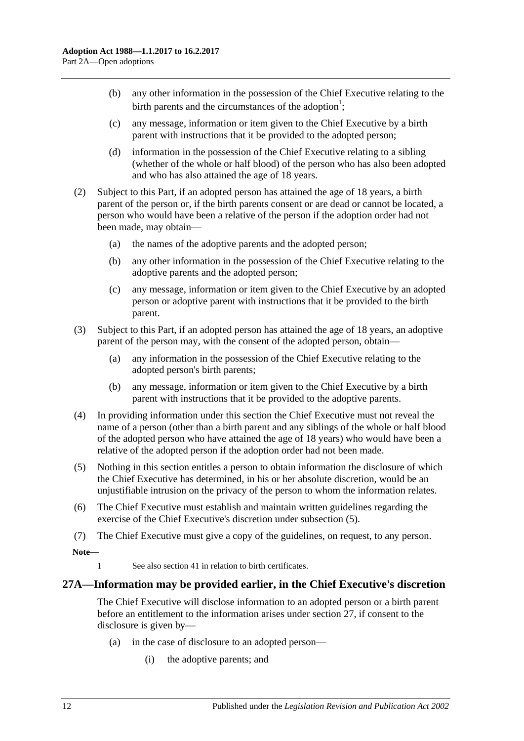- (b) any other information in the possession of the Chief Executive relating to the birth parents and the circumstances of the adoption<sup>1</sup>;
- (c) any message, information or item given to the Chief Executive by a birth parent with instructions that it be provided to the adopted person;
- (d) information in the possession of the Chief Executive relating to a sibling (whether of the whole or half blood) of the person who has also been adopted and who has also attained the age of 18 years.
- (2) Subject to this Part, if an adopted person has attained the age of 18 years, a birth parent of the person or, if the birth parents consent or are dead or cannot be located, a person who would have been a relative of the person if the adoption order had not been made, may obtain—
	- (a) the names of the adoptive parents and the adopted person;
	- (b) any other information in the possession of the Chief Executive relating to the adoptive parents and the adopted person;
	- (c) any message, information or item given to the Chief Executive by an adopted person or adoptive parent with instructions that it be provided to the birth parent.
- (3) Subject to this Part, if an adopted person has attained the age of 18 years, an adoptive parent of the person may, with the consent of the adopted person, obtain—
	- (a) any information in the possession of the Chief Executive relating to the adopted person's birth parents;
	- (b) any message, information or item given to the Chief Executive by a birth parent with instructions that it be provided to the adoptive parents.
- (4) In providing information under this section the Chief Executive must not reveal the name of a person (other than a birth parent and any siblings of the whole or half blood of the adopted person who have attained the age of 18 years) who would have been a relative of the adopted person if the adoption order had not been made.
- <span id="page-11-1"></span>(5) Nothing in this section entitles a person to obtain information the disclosure of which the Chief Executive has determined, in his or her absolute discretion, would be an unjustifiable intrusion on the privacy of the person to whom the information relates.
- (6) The Chief Executive must establish and maintain written guidelines regarding the exercise of the Chief Executive's discretion under [subsection](#page-11-1) (5).
- (7) The Chief Executive must give a copy of the guidelines, on request, to any person.

**Note—**

1 See also [section](#page-16-1) 41 in relation to birth certificates.

#### <span id="page-11-0"></span>**27A—Information may be provided earlier, in the Chief Executive's discretion**

The Chief Executive will disclose information to an adopted person or a birth parent before an entitlement to the information arises under [section](#page-10-3) 27, if consent to the disclosure is given by—

- (a) in the case of disclosure to an adopted person—
	- (i) the adoptive parents; and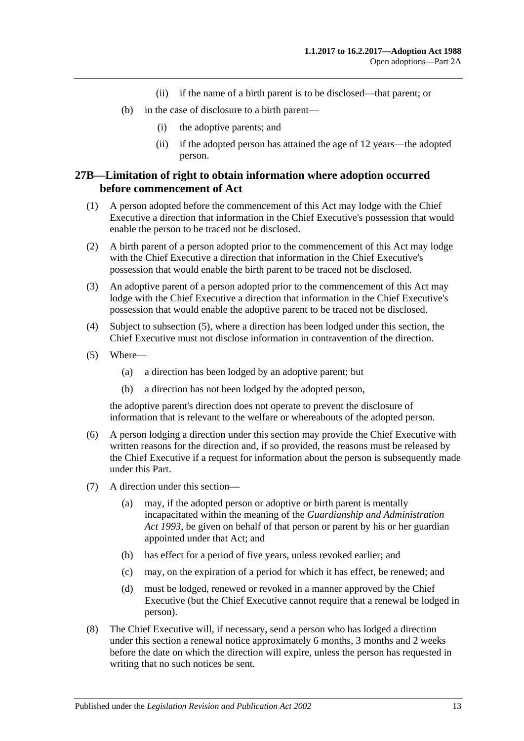- (ii) if the name of a birth parent is to be disclosed—that parent; or
- (b) in the case of disclosure to a birth parent—
	- (i) the adoptive parents; and
	- (ii) if the adopted person has attained the age of 12 years—the adopted person.

#### <span id="page-12-0"></span>**27B—Limitation of right to obtain information where adoption occurred before commencement of Act**

- (1) A person adopted before the commencement of this Act may lodge with the Chief Executive a direction that information in the Chief Executive's possession that would enable the person to be traced not be disclosed.
- (2) A birth parent of a person adopted prior to the commencement of this Act may lodge with the Chief Executive a direction that information in the Chief Executive's possession that would enable the birth parent to be traced not be disclosed.
- (3) An adoptive parent of a person adopted prior to the commencement of this Act may lodge with the Chief Executive a direction that information in the Chief Executive's possession that would enable the adoptive parent to be traced not be disclosed.
- (4) Subject to [subsection](#page-12-1) (5), where a direction has been lodged under this section, the Chief Executive must not disclose information in contravention of the direction.
- <span id="page-12-1"></span>(5) Where—
	- (a) a direction has been lodged by an adoptive parent; but
	- (b) a direction has not been lodged by the adopted person,

the adoptive parent's direction does not operate to prevent the disclosure of information that is relevant to the welfare or whereabouts of the adopted person.

- (6) A person lodging a direction under this section may provide the Chief Executive with written reasons for the direction and, if so provided, the reasons must be released by the Chief Executive if a request for information about the person is subsequently made under this Part.
- (7) A direction under this section—
	- (a) may, if the adopted person or adoptive or birth parent is mentally incapacitated within the meaning of the *[Guardianship and Administration](http://www.legislation.sa.gov.au/index.aspx?action=legref&type=act&legtitle=Guardianship%20and%20Administration%20Act%201993)  Act [1993](http://www.legislation.sa.gov.au/index.aspx?action=legref&type=act&legtitle=Guardianship%20and%20Administration%20Act%201993)*, be given on behalf of that person or parent by his or her guardian appointed under that Act; and
	- (b) has effect for a period of five years, unless revoked earlier; and
	- (c) may, on the expiration of a period for which it has effect, be renewed; and
	- (d) must be lodged, renewed or revoked in a manner approved by the Chief Executive (but the Chief Executive cannot require that a renewal be lodged in person).
- (8) The Chief Executive will, if necessary, send a person who has lodged a direction under this section a renewal notice approximately 6 months, 3 months and 2 weeks before the date on which the direction will expire, unless the person has requested in writing that no such notices be sent.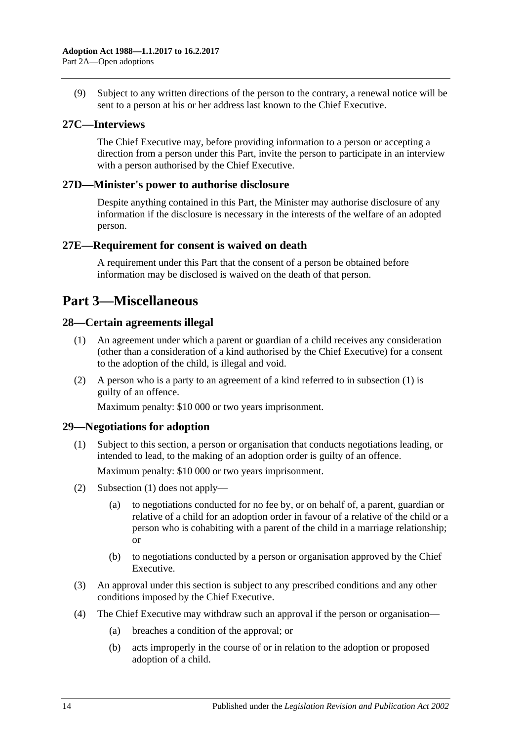(9) Subject to any written directions of the person to the contrary, a renewal notice will be sent to a person at his or her address last known to the Chief Executive.

#### <span id="page-13-0"></span>**27C—Interviews**

The Chief Executive may, before providing information to a person or accepting a direction from a person under this Part, invite the person to participate in an interview with a person authorised by the Chief Executive.

#### <span id="page-13-1"></span>**27D—Minister's power to authorise disclosure**

Despite anything contained in this Part, the Minister may authorise disclosure of any information if the disclosure is necessary in the interests of the welfare of an adopted person.

#### <span id="page-13-2"></span>**27E—Requirement for consent is waived on death**

A requirement under this Part that the consent of a person be obtained before information may be disclosed is waived on the death of that person.

## <span id="page-13-3"></span>**Part 3—Miscellaneous**

#### <span id="page-13-6"></span><span id="page-13-4"></span>**28—Certain agreements illegal**

- (1) An agreement under which a parent or guardian of a child receives any consideration (other than a consideration of a kind authorised by the Chief Executive) for a consent to the adoption of the child, is illegal and void.
- (2) A person who is a party to an agreement of a kind referred to in [subsection](#page-13-6) (1) is guilty of an offence.

Maximum penalty: \$10 000 or two years imprisonment.

### <span id="page-13-7"></span><span id="page-13-5"></span>**29—Negotiations for adoption**

(1) Subject to this section, a person or organisation that conducts negotiations leading, or intended to lead, to the making of an adoption order is guilty of an offence.

Maximum penalty: \$10 000 or two years imprisonment.

- (2) [Subsection](#page-13-7) (1) does not apply—
	- (a) to negotiations conducted for no fee by, or on behalf of, a parent, guardian or relative of a child for an adoption order in favour of a relative of the child or a person who is cohabiting with a parent of the child in a marriage relationship; or
	- (b) to negotiations conducted by a person or organisation approved by the Chief Executive.
- (3) An approval under this section is subject to any prescribed conditions and any other conditions imposed by the Chief Executive.
- <span id="page-13-8"></span>(4) The Chief Executive may withdraw such an approval if the person or organisation—
	- (a) breaches a condition of the approval; or
	- (b) acts improperly in the course of or in relation to the adoption or proposed adoption of a child.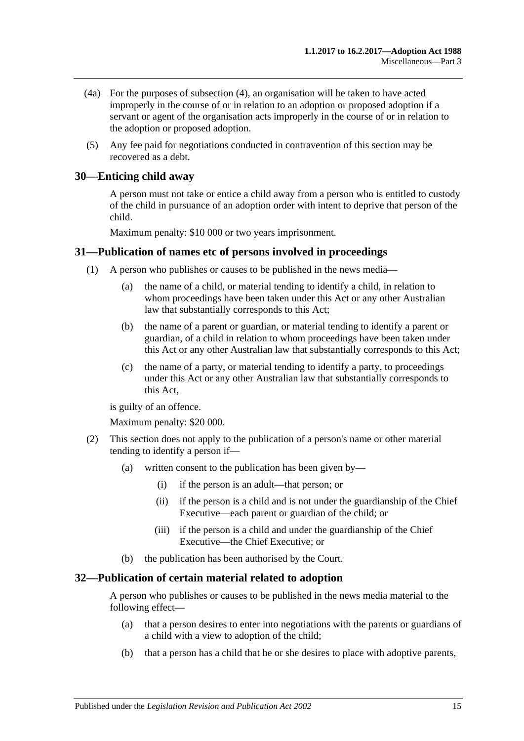- (4a) For the purposes of [subsection](#page-13-8) (4), an organisation will be taken to have acted improperly in the course of or in relation to an adoption or proposed adoption if a servant or agent of the organisation acts improperly in the course of or in relation to the adoption or proposed adoption.
- (5) Any fee paid for negotiations conducted in contravention of this section may be recovered as a debt.

#### <span id="page-14-0"></span>**30—Enticing child away**

A person must not take or entice a child away from a person who is entitled to custody of the child in pursuance of an adoption order with intent to deprive that person of the child.

Maximum penalty: \$10 000 or two years imprisonment.

#### <span id="page-14-1"></span>**31—Publication of names etc of persons involved in proceedings**

- (1) A person who publishes or causes to be published in the news media—
	- (a) the name of a child, or material tending to identify a child, in relation to whom proceedings have been taken under this Act or any other Australian law that substantially corresponds to this Act;
	- (b) the name of a parent or guardian, or material tending to identify a parent or guardian, of a child in relation to whom proceedings have been taken under this Act or any other Australian law that substantially corresponds to this Act;
	- (c) the name of a party, or material tending to identify a party, to proceedings under this Act or any other Australian law that substantially corresponds to this Act,

is guilty of an offence.

Maximum penalty: \$20 000.

- (2) This section does not apply to the publication of a person's name or other material tending to identify a person if—
	- (a) written consent to the publication has been given by—
		- (i) if the person is an adult—that person; or
		- (ii) if the person is a child and is not under the guardianship of the Chief Executive—each parent or guardian of the child; or
		- (iii) if the person is a child and under the guardianship of the Chief Executive—the Chief Executive; or
	- (b) the publication has been authorised by the Court.

#### <span id="page-14-2"></span>**32—Publication of certain material related to adoption**

A person who publishes or causes to be published in the news media material to the following effect—

- (a) that a person desires to enter into negotiations with the parents or guardians of a child with a view to adoption of the child;
- (b) that a person has a child that he or she desires to place with adoptive parents,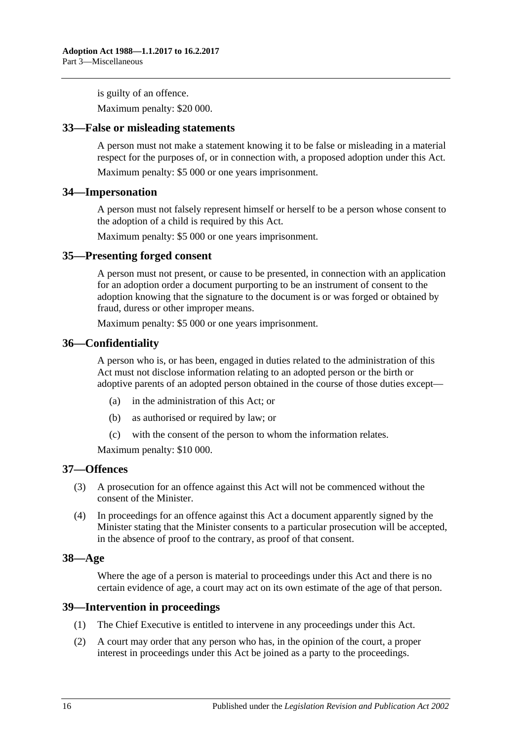is guilty of an offence.

Maximum penalty: \$20 000.

#### <span id="page-15-0"></span>**33—False or misleading statements**

A person must not make a statement knowing it to be false or misleading in a material respect for the purposes of, or in connection with, a proposed adoption under this Act.

Maximum penalty: \$5 000 or one years imprisonment.

#### <span id="page-15-1"></span>**34—Impersonation**

A person must not falsely represent himself or herself to be a person whose consent to the adoption of a child is required by this Act.

Maximum penalty: \$5 000 or one years imprisonment.

#### <span id="page-15-2"></span>**35—Presenting forged consent**

A person must not present, or cause to be presented, in connection with an application for an adoption order a document purporting to be an instrument of consent to the adoption knowing that the signature to the document is or was forged or obtained by fraud, duress or other improper means.

Maximum penalty: \$5 000 or one years imprisonment.

#### <span id="page-15-3"></span>**36—Confidentiality**

A person who is, or has been, engaged in duties related to the administration of this Act must not disclose information relating to an adopted person or the birth or adoptive parents of an adopted person obtained in the course of those duties except—

- (a) in the administration of this Act; or
- (b) as authorised or required by law; or
- (c) with the consent of the person to whom the information relates.

Maximum penalty: \$10 000.

#### <span id="page-15-4"></span>**37—Offences**

- (3) A prosecution for an offence against this Act will not be commenced without the consent of the Minister.
- (4) In proceedings for an offence against this Act a document apparently signed by the Minister stating that the Minister consents to a particular prosecution will be accepted, in the absence of proof to the contrary, as proof of that consent.

#### <span id="page-15-5"></span>**38—Age**

Where the age of a person is material to proceedings under this Act and there is no certain evidence of age, a court may act on its own estimate of the age of that person.

#### <span id="page-15-6"></span>**39—Intervention in proceedings**

- (1) The Chief Executive is entitled to intervene in any proceedings under this Act.
- (2) A court may order that any person who has, in the opinion of the court, a proper interest in proceedings under this Act be joined as a party to the proceedings.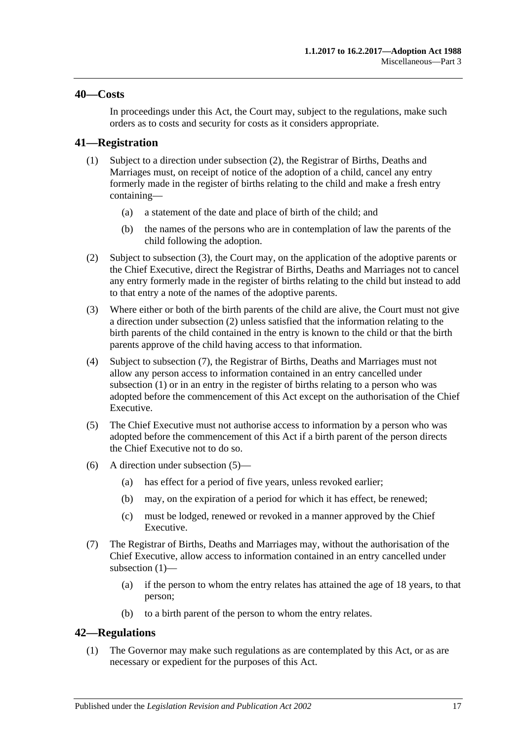#### <span id="page-16-0"></span>**40—Costs**

In proceedings under this Act, the Court may, subject to the regulations, make such orders as to costs and security for costs as it considers appropriate.

#### <span id="page-16-6"></span><span id="page-16-1"></span>**41—Registration**

- (1) Subject to a direction under [subsection](#page-16-3) (2), the Registrar of Births, Deaths and Marriages must, on receipt of notice of the adoption of a child, cancel any entry formerly made in the register of births relating to the child and make a fresh entry containing—
	- (a) a statement of the date and place of birth of the child; and
	- (b) the names of the persons who are in contemplation of law the parents of the child following the adoption.
- <span id="page-16-3"></span>(2) Subject to [subsection](#page-16-4) (3), the Court may, on the application of the adoptive parents or the Chief Executive, direct the Registrar of Births, Deaths and Marriages not to cancel any entry formerly made in the register of births relating to the child but instead to add to that entry a note of the names of the adoptive parents.
- <span id="page-16-4"></span>(3) Where either or both of the birth parents of the child are alive, the Court must not give a direction under [subsection](#page-16-3) (2) unless satisfied that the information relating to the birth parents of the child contained in the entry is known to the child or that the birth parents approve of the child having access to that information.
- (4) Subject to [subsection](#page-16-5) (7), the Registrar of Births, Deaths and Marriages must not allow any person access to information contained in an entry cancelled under [subsection](#page-16-6) (1) or in an entry in the register of births relating to a person who was adopted before the commencement of this Act except on the authorisation of the Chief Executive.
- <span id="page-16-7"></span>(5) The Chief Executive must not authorise access to information by a person who was adopted before the commencement of this Act if a birth parent of the person directs the Chief Executive not to do so.
- (6) A direction under [subsection](#page-16-7) (5)—
	- (a) has effect for a period of five years, unless revoked earlier;
	- (b) may, on the expiration of a period for which it has effect, be renewed;
	- (c) must be lodged, renewed or revoked in a manner approved by the Chief Executive.
- <span id="page-16-5"></span>(7) The Registrar of Births, Deaths and Marriages may, without the authorisation of the Chief Executive, allow access to information contained in an entry cancelled under [subsection](#page-16-6) (1)—
	- (a) if the person to whom the entry relates has attained the age of 18 years, to that person;
	- (b) to a birth parent of the person to whom the entry relates.

#### <span id="page-16-2"></span>**42—Regulations**

(1) The Governor may make such regulations as are contemplated by this Act, or as are necessary or expedient for the purposes of this Act.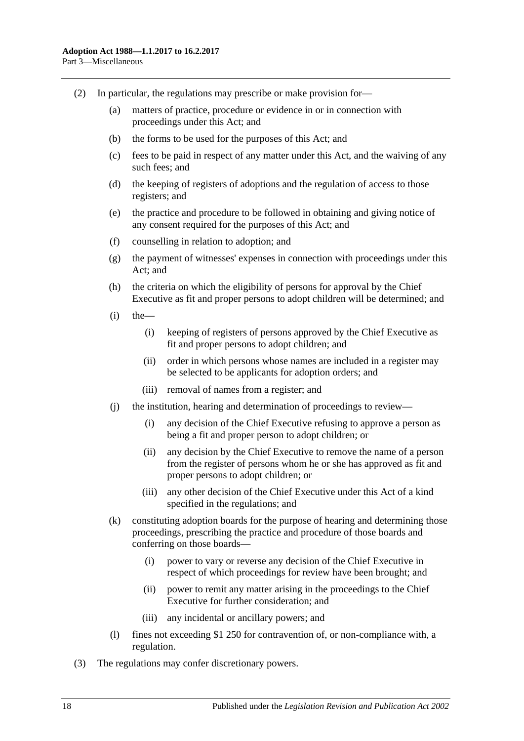- (2) In particular, the regulations may prescribe or make provision for—
	- (a) matters of practice, procedure or evidence in or in connection with proceedings under this Act; and
	- (b) the forms to be used for the purposes of this Act; and
	- (c) fees to be paid in respect of any matter under this Act, and the waiving of any such fees; and
	- (d) the keeping of registers of adoptions and the regulation of access to those registers; and
	- (e) the practice and procedure to be followed in obtaining and giving notice of any consent required for the purposes of this Act; and
	- (f) counselling in relation to adoption; and
	- (g) the payment of witnesses' expenses in connection with proceedings under this Act; and
	- (h) the criteria on which the eligibility of persons for approval by the Chief Executive as fit and proper persons to adopt children will be determined; and
	- $(i)$  the
		- (i) keeping of registers of persons approved by the Chief Executive as fit and proper persons to adopt children; and
		- (ii) order in which persons whose names are included in a register may be selected to be applicants for adoption orders; and
		- (iii) removal of names from a register; and
	- (j) the institution, hearing and determination of proceedings to review—
		- (i) any decision of the Chief Executive refusing to approve a person as being a fit and proper person to adopt children; or
		- (ii) any decision by the Chief Executive to remove the name of a person from the register of persons whom he or she has approved as fit and proper persons to adopt children; or
		- (iii) any other decision of the Chief Executive under this Act of a kind specified in the regulations; and
	- (k) constituting adoption boards for the purpose of hearing and determining those proceedings, prescribing the practice and procedure of those boards and conferring on those boards—
		- (i) power to vary or reverse any decision of the Chief Executive in respect of which proceedings for review have been brought; and
		- (ii) power to remit any matter arising in the proceedings to the Chief Executive for further consideration; and
		- (iii) any incidental or ancillary powers; and
	- (l) fines not exceeding \$1 250 for contravention of, or non-compliance with, a regulation.
- (3) The regulations may confer discretionary powers.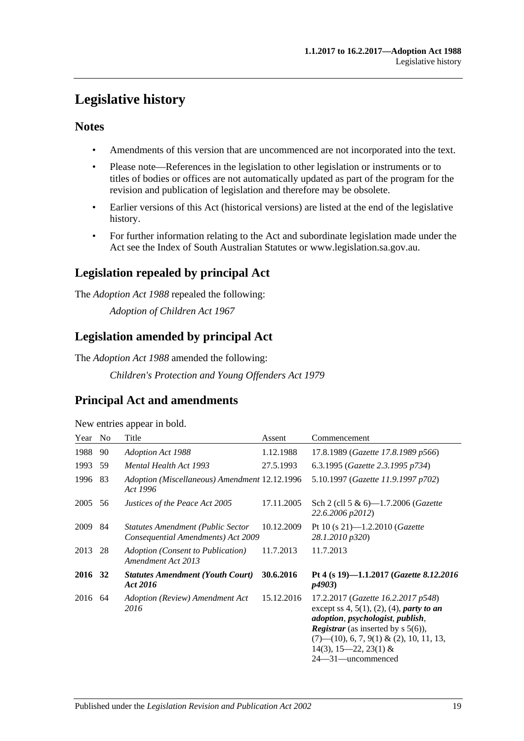# <span id="page-18-0"></span>**Legislative history**

### **Notes**

- Amendments of this version that are uncommenced are not incorporated into the text.
- Please note—References in the legislation to other legislation or instruments or to titles of bodies or offices are not automatically updated as part of the program for the revision and publication of legislation and therefore may be obsolete.
- Earlier versions of this Act (historical versions) are listed at the end of the legislative history.
- For further information relating to the Act and subordinate legislation made under the Act see the Index of South Australian Statutes or www.legislation.sa.gov.au.

## **Legislation repealed by principal Act**

The *Adoption Act 1988* repealed the following:

*Adoption of Children Act 1967*

## **Legislation amended by principal Act**

The *Adoption Act 1988* amended the following:

*Children's Protection and Young Offenders Act 1979*

## **Principal Act and amendments**

New entries appear in bold.

| Year    | N <sub>o</sub> | Title                                                                          | Assent     | Commencement                                                                                                                                                                                                                                                                                                   |
|---------|----------------|--------------------------------------------------------------------------------|------------|----------------------------------------------------------------------------------------------------------------------------------------------------------------------------------------------------------------------------------------------------------------------------------------------------------------|
| 1988    | 90             | <b>Adoption Act 1988</b>                                                       | 1.12.1988  | 17.8.1989 (Gazette 17.8.1989 p566)                                                                                                                                                                                                                                                                             |
| 1993    | 59             | Mental Health Act 1993                                                         | 27.5.1993  | 6.3.1995 (Gazette 2.3.1995 p734)                                                                                                                                                                                                                                                                               |
| 1996    | 83             | Adoption (Miscellaneous) Amendment 12.12.1996<br>Act 1996                      |            | 5.10.1997 (Gazette 11.9.1997 p702)                                                                                                                                                                                                                                                                             |
| 2005    | 56             | Justices of the Peace Act 2005                                                 | 17.11.2005 | Sch 2 (cll 5 & 6)-1.7.2006 ( <i>Gazette</i><br>22.6.2006 p2012)                                                                                                                                                                                                                                                |
| 2009    | -84            | <b>Statutes Amendment (Public Sector</b><br>Consequential Amendments) Act 2009 | 10.12.2009 | Pt 10 (s 21)-1.2.2010 ( <i>Gazette</i><br>28.1.2010 p320)                                                                                                                                                                                                                                                      |
| 2013    | 28             | Adoption (Consent to Publication)<br>Amendment Act 2013                        | 11.7.2013  | 11.7.2013                                                                                                                                                                                                                                                                                                      |
| 2016 32 |                | <b>Statutes Amendment (Youth Court)</b><br>Act 2016                            | 30.6.2016  | Pt 4 (s 19)-1.1.2017 (Gazette 8.12.2016<br><i>p4903</i> )                                                                                                                                                                                                                                                      |
| 2016 64 |                | Adoption (Review) Amendment Act<br>2016                                        | 15.12.2016 | 17.2.2017 (Gazette 16.2.2017 p548)<br>except ss 4, 5(1), (2), (4), <i>party to an</i><br><i>adoption</i> , <i>psychologist</i> , <i>publish</i> ,<br><b>Registrar</b> (as inserted by $s$ 5(6)),<br>$(7)$ — $(10)$ , 6, 7, 9 $(1)$ & $(2)$ , 10, 11, 13,<br>$14(3)$ , $15-22$ , $23(1)$ &<br>24—31—uncommenced |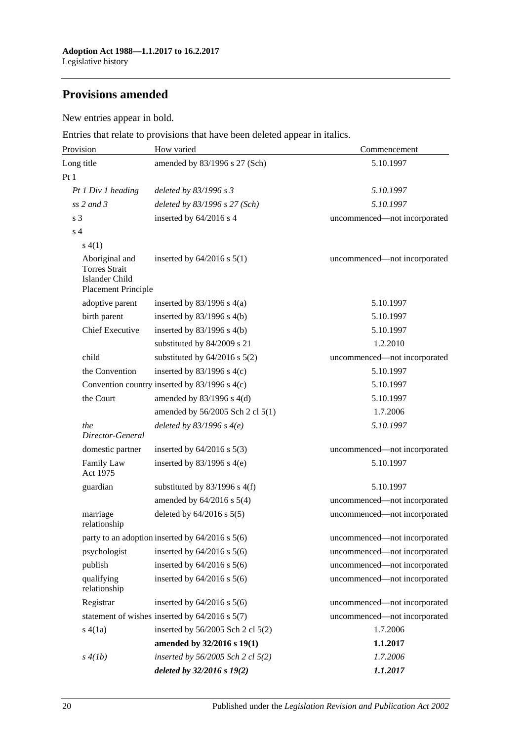## **Provisions amended**

### New entries appear in bold.

Entries that relate to provisions that have been deleted appear in italics.

| Provision                                                                       | How varied                                         | Commencement                 |
|---------------------------------------------------------------------------------|----------------------------------------------------|------------------------------|
| Long title                                                                      | amended by 83/1996 s 27 (Sch)                      | 5.10.1997                    |
| Pt 1                                                                            |                                                    |                              |
| Pt 1 Div 1 heading                                                              | deleted by 83/1996 s 3                             | 5.10.1997                    |
| $ss$ 2 and 3                                                                    | deleted by $83/1996$ s $27$ (Sch)                  | 5.10.1997                    |
| s <sub>3</sub>                                                                  | inserted by 64/2016 s 4                            | uncommenced-not incorporated |
| s <sub>4</sub>                                                                  |                                                    |                              |
| s(4(1))                                                                         |                                                    |                              |
| Aboriginal and<br><b>Torres Strait</b><br>Islander Child<br>Placement Principle | inserted by $64/2016$ s $5(1)$                     | uncommenced-not incorporated |
| adoptive parent                                                                 | inserted by $83/1996$ s $4(a)$                     | 5.10.1997                    |
| birth parent                                                                    | inserted by $83/1996$ s $4(b)$                     | 5.10.1997                    |
| <b>Chief Executive</b>                                                          | inserted by $83/1996$ s $4(b)$                     | 5.10.1997                    |
|                                                                                 | substituted by 84/2009 s 21                        | 1.2.2010                     |
| child                                                                           | substituted by $64/2016$ s $5(2)$                  | uncommenced-not incorporated |
| the Convention                                                                  | inserted by $83/1996$ s 4(c)                       | 5.10.1997                    |
|                                                                                 | Convention country inserted by 83/1996 s 4(c)      | 5.10.1997                    |
| the Court                                                                       | amended by $83/1996$ s $4(d)$                      | 5.10.1997                    |
|                                                                                 | amended by 56/2005 Sch 2 cl 5(1)                   | 1.7.2006                     |
| the<br>Director-General                                                         | deleted by $83/1996$ s $4(e)$                      | 5.10.1997                    |
| domestic partner                                                                | inserted by $64/2016$ s $5(3)$                     | uncommenced-not incorporated |
| Family Law<br>Act 1975                                                          | inserted by $83/1996$ s 4(e)                       | 5.10.1997                    |
| guardian                                                                        | substituted by $83/1996$ s $4(f)$                  | 5.10.1997                    |
|                                                                                 | amended by $64/2016$ s $5(4)$                      | uncommenced-not incorporated |
| marriage<br>relationship                                                        | deleted by $64/2016$ s $5(5)$                      | uncommenced-not incorporated |
|                                                                                 | party to an adoption inserted by 64/2016 s 5(6)    | uncommenced-not incorporated |
| psychologist                                                                    | inserted by $64/2016$ s $5(6)$                     | uncommenced-not incorporated |
| publish                                                                         | inserted by $64/2016$ s $5(6)$                     | uncommenced-not incorporated |
| qualifying<br>relationship                                                      | inserted by $64/2016$ s $5(6)$                     | uncommenced-not incorporated |
| Registrar                                                                       | inserted by $64/2016$ s $5(6)$                     | uncommenced-not incorporated |
|                                                                                 | statement of wishes inserted by $64/2016$ s $5(7)$ | uncommenced-not incorporated |
| s(4(a))                                                                         | inserted by 56/2005 Sch 2 cl 5(2)                  | 1.7.2006                     |
|                                                                                 | amended by 32/2016 s 19(1)                         | 1.1.2017                     |
| s(4(lb))                                                                        | inserted by 56/2005 Sch 2 cl 5(2)                  | 1.7.2006                     |
|                                                                                 | deleted by 32/2016 s 19(2)                         | 1.1.2017                     |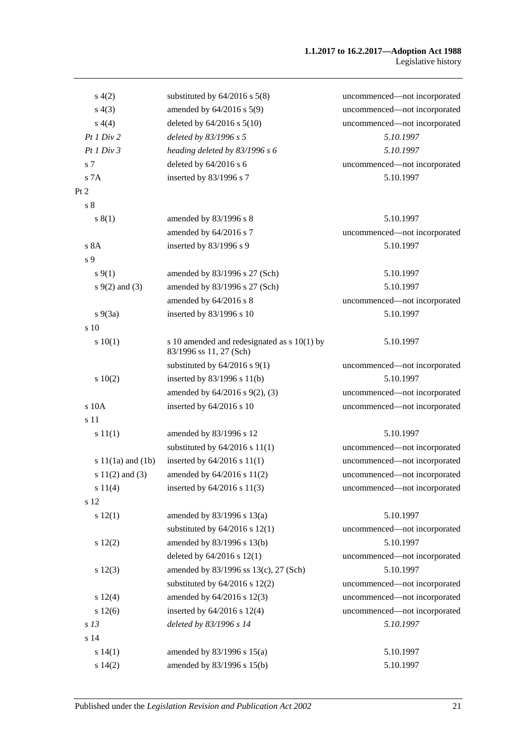#### **1.1.2017 to 16.2.2017—Adoption Act 1988** Legislative history

| s(4(2)                | substituted by $64/2016$ s $5(8)$                                        | uncommenced-not incorporated |
|-----------------------|--------------------------------------------------------------------------|------------------------------|
| s(4(3))               | amended by 64/2016 s 5(9)                                                | uncommenced-not incorporated |
| s(4(4)                | deleted by $64/2016$ s $5(10)$                                           | uncommenced-not incorporated |
| Pt1 Div2              | deleted by 83/1996 s 5                                                   | 5.10.1997                    |
| Pt1 Div3              | heading deleted by $83/1996 s 6$                                         | 5.10.1997                    |
| s 7                   | deleted by $64/2016$ s 6                                                 | uncommenced-not incorporated |
| s 7A                  | inserted by 83/1996 s 7                                                  | 5.10.1997                    |
| Pt 2                  |                                                                          |                              |
| s <sub>8</sub>        |                                                                          |                              |
| s(1)                  | amended by 83/1996 s 8                                                   | 5.10.1997                    |
|                       | amended by 64/2016 s 7                                                   | uncommenced-not incorporated |
| s 8A                  | inserted by 83/1996 s 9                                                  | 5.10.1997                    |
| s 9                   |                                                                          |                              |
| $s \, 9(1)$           | amended by 83/1996 s 27 (Sch)                                            | 5.10.1997                    |
| $s \, 9(2)$ and (3)   | amended by 83/1996 s 27 (Sch)                                            | 5.10.1997                    |
|                       | amended by 64/2016 s 8                                                   | uncommenced-not incorporated |
| $s\,9(3a)$            | inserted by 83/1996 s 10                                                 | 5.10.1997                    |
| s 10                  |                                                                          |                              |
| 10(1)                 | s 10 amended and redesignated as $s$ 10(1) by<br>83/1996 ss 11, 27 (Sch) | 5.10.1997                    |
|                       | substituted by $64/2016$ s $9(1)$                                        | uncommenced-not incorporated |
| 10(2)                 | inserted by $83/1996$ s $11(b)$                                          | 5.10.1997                    |
|                       | amended by $64/2016$ s $9(2)$ , (3)                                      | uncommenced-not incorporated |
| s 10A                 | inserted by 64/2016 s 10                                                 | uncommenced-not incorporated |
| s 11                  |                                                                          |                              |
| s 11(1)               | amended by 83/1996 s 12                                                  | 5.10.1997                    |
|                       | substituted by $64/2016$ s $11(1)$                                       | uncommenced—not incorporated |
| s $11(1a)$ and $(1b)$ | inserted by $64/2016$ s $11(1)$                                          | uncommenced-not incorporated |
| s $11(2)$ and $(3)$   | amended by 64/2016 s 11(2)                                               | uncommenced-not incorporated |
| s 11(4)               | inserted by $64/2016$ s $11(3)$                                          | uncommenced-not incorporated |
| s 12                  |                                                                          |                              |
| s 12(1)               | amended by 83/1996 s 13(a)                                               | 5.10.1997                    |
|                       | substituted by $64/2016$ s $12(1)$                                       | uncommenced-not incorporated |
| s 12(2)               | amended by 83/1996 s 13(b)                                               | 5.10.1997                    |
|                       | deleted by $64/2016$ s $12(1)$                                           | uncommenced-not incorporated |
| s 12(3)               | amended by 83/1996 ss 13(c), 27 (Sch)                                    | 5.10.1997                    |
|                       | substituted by $64/2016$ s $12(2)$                                       | uncommenced-not incorporated |
| s 12(4)               | amended by 64/2016 s 12(3)                                               | uncommenced-not incorporated |
| s 12(6)               | inserted by 64/2016 s 12(4)                                              | uncommenced-not incorporated |
| s <sub>13</sub>       | deleted by 83/1996 s 14                                                  | 5.10.1997                    |
| s 14                  |                                                                          |                              |
| s 14(1)               | amended by 83/1996 s 15(a)                                               | 5.10.1997                    |
| s 14(2)               | amended by 83/1996 s 15(b)                                               | 5.10.1997                    |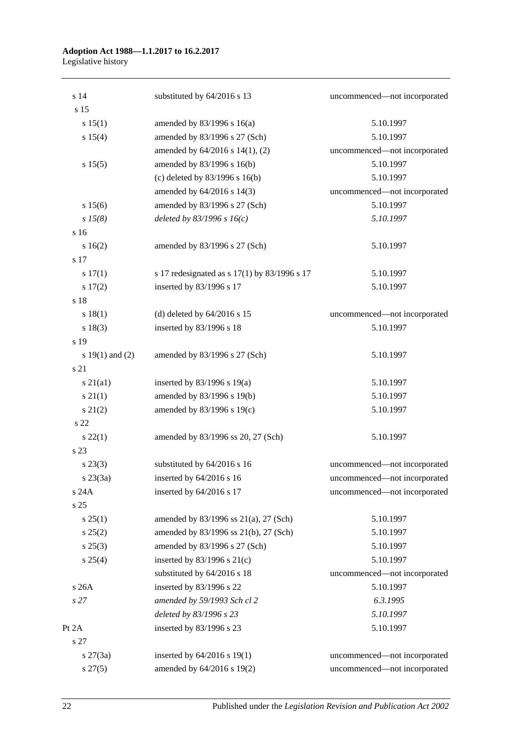#### **Adoption Act 1988—1.1.2017 to 16.2.2017** Legislative history

| s 14                | substituted by 64/2016 s 13                  | uncommenced-not incorporated |
|---------------------|----------------------------------------------|------------------------------|
| s 15                |                                              |                              |
| s 15(1)             | amended by $83/1996$ s $16(a)$               | 5.10.1997                    |
| s 15(4)             | amended by 83/1996 s 27 (Sch)                | 5.10.1997                    |
|                     | amended by 64/2016 s 14(1), (2)              | uncommenced-not incorporated |
| s 15(5)             | amended by 83/1996 s 16(b)                   | 5.10.1997                    |
|                     | (c) deleted by $83/1996$ s $16(b)$           | 5.10.1997                    |
|                     | amended by 64/2016 s 14(3)                   | uncommenced-not incorporated |
| s 15(6)             | amended by 83/1996 s 27 (Sch)                | 5.10.1997                    |
| $s\,15(8)$          | deleted by $83/1996 s 16(c)$                 | 5.10.1997                    |
| s 16                |                                              |                              |
| 16(2)               | amended by 83/1996 s 27 (Sch)                | 5.10.1997                    |
| s 17                |                                              |                              |
| s 17(1)             | s 17 redesignated as s 17(1) by 83/1996 s 17 | 5.10.1997                    |
| s 17(2)             | inserted by 83/1996 s 17                     | 5.10.1997                    |
| s 18                |                                              |                              |
| s 18(1)             | (d) deleted by $64/2016$ s 15                | uncommenced-not incorporated |
| s 18(3)             | inserted by 83/1996 s 18                     | 5.10.1997                    |
| s 19                |                                              |                              |
| s $19(1)$ and $(2)$ | amended by 83/1996 s 27 (Sch)                | 5.10.1997                    |
| s 21                |                                              |                              |
| $s\ 21(a1)$         | inserted by $83/1996$ s $19(a)$              | 5.10.1997                    |
| $s \, 21(1)$        | amended by 83/1996 s 19(b)                   | 5.10.1997                    |
| $s\ 21(2)$          | amended by 83/1996 s 19(c)                   | 5.10.1997                    |
| s 22                |                                              |                              |
| $s\,22(1)$          | amended by 83/1996 ss 20, 27 (Sch)           | 5.10.1997                    |
| s 23                |                                              |                              |
| $s\,23(3)$          | substituted by 64/2016 s 16                  | uncommenced-not incorporated |
| $s \, 23(3a)$       | inserted by 64/2016 s 16                     | uncommenced-not incorporated |
| s 24A               | inserted by 64/2016 s 17                     | uncommenced-not incorporated |
| s 25                |                                              |                              |
| $s \, 25(1)$        | amended by 83/1996 ss 21(a), 27 (Sch)        | 5.10.1997                    |
| s 25(2)             | amended by 83/1996 ss 21(b), 27 (Sch)        | 5.10.1997                    |
| $s\,25(3)$          | amended by 83/1996 s 27 (Sch)                | 5.10.1997                    |
| $s \; 25(4)$        | inserted by $83/1996$ s $21(c)$              | 5.10.1997                    |
|                     | substituted by 64/2016 s 18                  | uncommenced-not incorporated |
| s 26A               | inserted by 83/1996 s 22                     | 5.10.1997                    |
| s27                 | amended by 59/1993 Sch cl 2                  | 6.3.1995                     |
|                     | deleted by 83/1996 s 23                      | 5.10.1997                    |
| Pt 2A               | inserted by 83/1996 s 23                     | 5.10.1997                    |
| s 27                |                                              |                              |
| $s \, 27(3a)$       | inserted by 64/2016 s 19(1)                  | uncommenced-not incorporated |
| $s\,27(5)$          | amended by 64/2016 s 19(2)                   | uncommenced-not incorporated |
|                     |                                              |                              |

22 Published under the *Legislation Revision and Publication Act 2002*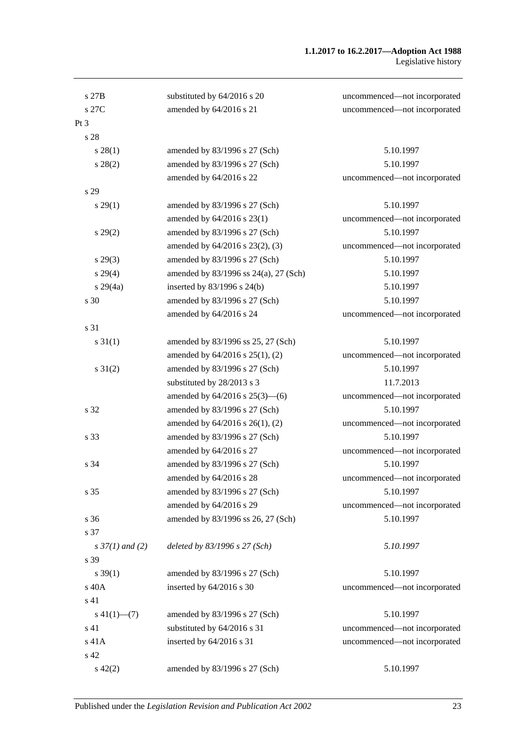#### **1.1.2017 to 16.2.2017—Adoption Act 1988** Legislative history

| s 27B                    | substituted by 64/2016 s 20           | uncommenced-not incorporated |
|--------------------------|---------------------------------------|------------------------------|
| s 27C                    | amended by 64/2016 s 21               | uncommenced-not incorporated |
| Pt <sub>3</sub>          |                                       |                              |
| s 28                     |                                       |                              |
| s 28(1)                  | amended by 83/1996 s 27 (Sch)         | 5.10.1997                    |
| $s\,28(2)$               | amended by 83/1996 s 27 (Sch)         | 5.10.1997                    |
|                          | amended by 64/2016 s 22               | uncommenced-not incorporated |
| s 29                     |                                       |                              |
| s 29(1)                  | amended by 83/1996 s 27 (Sch)         | 5.10.1997                    |
|                          | amended by 64/2016 s 23(1)            | uncommenced-not incorporated |
| $s\,29(2)$               | amended by 83/1996 s 27 (Sch)         | 5.10.1997                    |
|                          | amended by 64/2016 s 23(2), (3)       | uncommenced-not incorporated |
| $s\,29(3)$               | amended by 83/1996 s 27 (Sch)         | 5.10.1997                    |
| $s\,29(4)$               | amended by 83/1996 ss 24(a), 27 (Sch) | 5.10.1997                    |
| $s\,29(4a)$              | inserted by 83/1996 s 24(b)           | 5.10.1997                    |
| s 30                     | amended by 83/1996 s 27 (Sch)         | 5.10.1997                    |
|                          | amended by 64/2016 s 24               | uncommenced-not incorporated |
| s 31                     |                                       |                              |
| $s \, 31(1)$             | amended by 83/1996 ss 25, 27 (Sch)    | 5.10.1997                    |
|                          | amended by 64/2016 s 25(1), (2)       | uncommenced-not incorporated |
| $s \, 31(2)$             | amended by 83/1996 s 27 (Sch)         | 5.10.1997                    |
|                          | substituted by 28/2013 s 3            | 11.7.2013                    |
|                          | amended by 64/2016 s 25(3)-(6)        | uncommenced-not incorporated |
| s 32                     | amended by 83/1996 s 27 (Sch)         | 5.10.1997                    |
|                          | amended by 64/2016 s 26(1), (2)       | uncommenced-not incorporated |
| s 33                     | amended by 83/1996 s 27 (Sch)         | 5.10.1997                    |
|                          | amended by 64/2016 s 27               | uncommenced-not incorporated |
| s 34                     | amended by 83/1996 s 27 (Sch)         | 5.10.1997                    |
|                          | amended by 64/2016 s 28               | uncommenced-not incorporated |
| s 35                     | amended by 83/1996 s 27 (Sch)         | 5.10.1997                    |
|                          | amended by 64/2016 s 29               | uncommenced-not incorporated |
| s 36                     | amended by 83/1996 ss 26, 27 (Sch)    | 5.10.1997                    |
| s 37                     |                                       |                              |
| $s \frac{37}{1}$ and (2) | deleted by 83/1996 s 27 (Sch)         | 5.10.1997                    |
| s 39                     |                                       |                              |
| $s \, 39(1)$             | amended by 83/1996 s 27 (Sch)         | 5.10.1997                    |
| s 40A                    | inserted by 64/2016 s 30              | uncommenced-not incorporated |
| s 41                     |                                       |                              |
| $s\ 41(1)$ —(7)          | amended by 83/1996 s 27 (Sch)         | 5.10.1997                    |
| s 41                     | substituted by 64/2016 s 31           | uncommenced-not incorporated |
| s 41A                    | inserted by 64/2016 s 31              | uncommenced-not incorporated |
| s 42                     |                                       |                              |
| $s\ 42(2)$               | amended by 83/1996 s 27 (Sch)         | 5.10.1997                    |